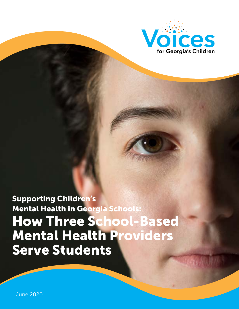

Supporting Children's Mental Health in Georgia Schools: How Three School-Based Mental Health Providers Serve Students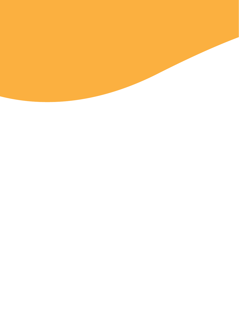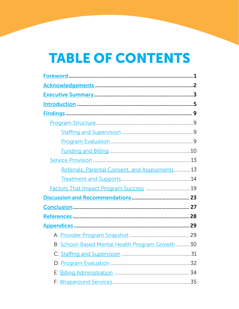# **TABLE OF CONTENTS**

| Referrals, Parental Consent, and Assessments13  |    |
|-------------------------------------------------|----|
|                                                 |    |
|                                                 |    |
|                                                 |    |
|                                                 |    |
|                                                 |    |
|                                                 |    |
|                                                 |    |
| B: School-Based Mental Health Program Growth 30 |    |
|                                                 |    |
|                                                 |    |
|                                                 | 34 |
|                                                 |    |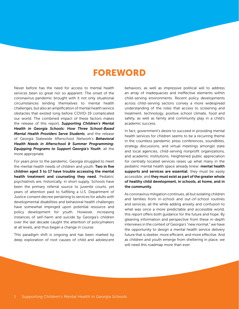# FOREWORD

Never before has the need for access to mental health services been so great nor so apparent. The onset of the coronavirus pandemic brought with it not only situational circumstances lending themselves to mental health challenges, but also an amplification of mental health service obstacles that existed long before COVID-19 complicated our world. The combined impact of these factors makes the release of this report, *Supporting Children's Mental Health in Georgia Schools: How Three School-Based Mental Health Providers Serve Students*, and the release of Georgia Statewide Afterschool Network's *Behavioral Health Needs in Afterschool & Summer Programming: Equipping Programs to Support Georgia's Youth*, all the more appropriate.

For years prior to the pandemic, Georgia struggled to meet the mental health needs of children and youth. Two in five children aged 3 to 17 have trouble accessing the mental health treatment and counseling they need. Pediatric psychiatrists are, historically, in short supply. Schools have been the primary referral source to juvenile courts, yet years of attention paid to fulfilling a U.S. Department of Justice consent decree pertaining to services for adults with developmental disabilities and behavioral health challenges have somewhat impinged upon potential resource and policy development for youth. However, increasing instances of self-harm and suicide by Georgia's children over the last decade caught the attention of policymakers at all levels, and thus began a change in course.

This paradigm shift is ongoing and has been marked by deep exploration of root causes of child and adolescent <span id="page-3-0"></span>behaviors, as well as impressive political will to address an array of inadequacies and ineffective elements within child-serving environments. Recent policy developments across child-serving sectors convey a more widespread understanding of the roles that access to screening and treatment, technology, positive school climate, food and safety, as well as family and community play in a child's academic success.

In fact, government's desire to succeed in providing mental health services for children seems to be a recurring theme in the countless pandemic press conferences, soundbites, strategy discussions, and virtual meetings amongst state and local agencies, child-serving nonprofit organizations, and academic institutions. Heightened public appreciation for centrally located services raises up what many in the pediatric mental health space already knew: mental health supports and services are essential; they must be easily accessible; and they must exist as part of the greater whole of healthy child development, in schools, at home, and in the community.

As coronavirus mitigation continues, all but isolating children and families from in-school and out-of-school routines and services, all the while adding anxiety and confusion to what was once a more predictable and accessible world, this report offers both guidance for the future and hope. By gleaning information and perspective from these in-depth interviews in the context of Georgia's "new normal," we have the opportunity to design a mental health service delivery future that is sleeker, more efficient, and more effective. And as children and youth emerge from sheltering in place, we will need this roadmap more than ever.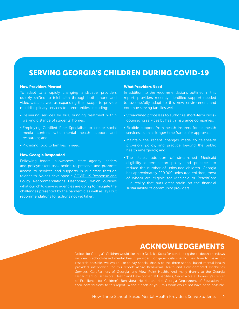# SERVING GEORGIA'S CHILDREN DURING COVID-19

#### How Providers Pivoted

To adapt to a rapidly changing landscape, providers quickly shifted to telehealth through both phone and video calls, as well as expanding their scope to provide multidisciplinary services to communities, including:

- [Delivering services by bus,](https://georgiavoices.org/middle-georgia-healthcare-provider-brings-services-to-families-by-bus/) bringing treatment within walking distance of students' homes;
- Employing Certified Peer Specialists to create social media content with mental health support and resources; and
- Providing food to families in need.

#### How Georgia Responded

Following federal allowances, state agency leaders and policymakers took action to preserve and promote access to services and supports in our state through telehealth. Voices developed a [COVID-19 Response and](https://georgiavoices.org/covid-19-agency-response/) [Policy Recommendations Dashboard,](https://georgiavoices.org/covid-19-agency-response/) which outlines what our child-serving agencies are doing to mitigate the challenges presented by the pandemic as well as lays out recommendations for actions not yet taken.

#### What Providers Need

In addition to the recommendations outlined in this report, providers recently identified support needed to successfully adapt to this new environment and continue serving families well:

- Streamlined processes to authorize short-term crisiscounseling services by health insurance companies;
- Flexible support from health insurers for telehealth services, such as longer time frames for approvals;
- Maintain the recent changes made to telehealth provision, policy, and practice beyond the public health emergency; and
- The state's adoption of streamlined Medicaid eligibility determination policy and practices to reduce the number of uninsured children. Georgia has approximately 220,000 uninsured children, most of whom are eligible for Medicaid or PeachCare - a reality that puts great strain on the financial sustainability of community providers.

# <span id="page-4-0"></span>ACKNOWLEDGEMENTS

Voices for Georgia's Children would like thank Dr. Nikia Scott for conducting the in-depth interviews with each school-based mental health provider. For generously sharing their time to make this research possible, we would like to say special thanks to the three school-based mental health providers interviewed for this report: Aspire Behavioral Health and Developmental Disabilities Services, CarePartners of Georgia, and View Point Health. And many thanks to the Georgia Department of Behavioral Health and Developmental Disabilities, Georgia State University's Center of Excellence for Children's Behavioral Health, and the Georgia Department of Education for their contributions to this report. Without each of you, this work would not have been possible.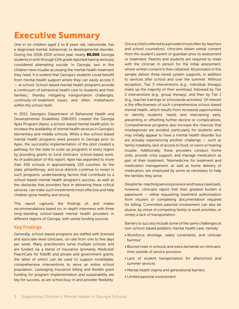# <span id="page-5-0"></span>Executive Summary

One in six children aged 2 to 8 years old, nationwide, has a diagnosed mental, behavioral, or developmental disorder. During the 2018-2019 school year, nearly 80,000 Georgia students in sixth through 12th grade reported having seriously considered attempting suicide. In Georgia, two in five children have trouble accessing the mental health treatment they need. It is evident that Georgia's students could benefit from mental health support where they can easily access it — at school. School-based mental health programs provide a continuum of behavioral health care to students and their families,<sup>[1](#page-30-1)</sup> thereby mitigating transportation challenges, continuity-of-treatment issues, and, often, misbehavior within the school itself.

In 2015, Georgia's Department of Behavioral Health and Developmental Disabilities (DBHDD) created the Georgia Apex Program (Apex), a school-based mental health pilot, to increase the availability of mental health services in Georgia's elementary and middle schools. While a few school-based mental health programs were present in Georgia prior to Apex, the successful implementation of the pilot created a pathway for the state to scale up programs in every region by providing grants to fund clinicians' school-based work. As of publication of this report, Apex has expanded to more than 430 schools in approximately 100 counties. As the state, philanthropy, and local districts continue to invest in such programs, understanding factors that contribute to a school-based mental health program's success, as well as the obstacles that providers face in delivering these critical services, can make such investments most effective and help children grow healthy and strong.

This report captures the findings of, and makes recommendations based on, in-depth interviews with three long-standing school-based mental health providers in different regions of Georgia, with varied funding sources.

#### Key Findings

Generally, school-based programs are staffed with licensed and associate-level clinicians, on-site from one to five days per week. Many practitioners serve multiple schools and are funded via a blend of insurance (primarily Medicaid/ PeachCare for Kids®) and private and government grants, the latter of which can be used to support nonbillable, comprehensive interventions to serve an entire school population. Leveraging insurance billing and flexible grant funding for program implementation and sustainability are key for success, as are school buy-in and provider flexibility.

Once a child is referred to a provider (most often by teachers and school counselors), clinicians obtain verbal consent from the student's parent or guardian prior to assessment or treatment. Parents and students are required to meet with the clinician in person for the initial assessment, where written consent is then obtained. All providers in this sample deliver three-tiered system supports, in addition to services after school and over the summer. Without exception, Tier 3 interventions (e.g., individual therapy) make up the majority of their workload, followed by Tier 2 interventions (e.g., group therapy), and then by Tier 1 (e.g., teacher trainings or schoolwide activities). Of interest is the effectiveness of such comprehensive school-based mental health, which results from increased opportunities to identify students' needs and intervening early, preventing or offsetting further decline or complications. Comprehensive programs also increase the chances that misdiagnoses are avoided, particularly for students who may initially appear to have a mental health disorder but are actually experiencing another challenge  $-$  such as family instability, lack of access to food, or vision or hearing trouble. Additionally, these providers conduct home visits, provide crisis support, and manage medication as part of their treatment. Telemedicine for treatment and medication management, as well as home delivery of medication, are employed by some as necessary to help the families they serve.

Despite far-reaching service provision and heavy caseloads, however, clinicians report that their greatest burden is paperwork — either requesting treatment authorization from insurers or completing documentation required for billing. Committed parental involvement can also be elusive, by virtue of competing family or work priorities, or simply a lack of transportation.

Barriers to success include some of the same challenges as non-school-based pediatric mental health care, namely:

- Workforce shortage, salary constraints, and clinician burnout
- Blurred roles in schools and extra demands on clinicians' time outside of service provision
- Lack of student transportation for afterschool and summer services
- Mental health stigma and generational barriers
- Limited parental involvement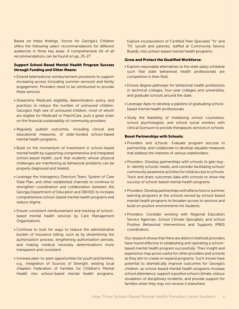Based on these findings, Voices for Georgia's Children offers the following select recommendations for different audiences in three key areas. A comprehensive list of all recommendations can be found on pp. 25-27.

#### Support School-Based Mental Health Program Success through Funding and Other Means:

- Extend telemedicine reimbursement provisions to support increasing access (including summer services) and family engagement. Providers need to be reimbursed to provide these services.
- Streamline Medicaid eligibility determination policy and practices to reduce the number of uninsured children. Georgia's high rate of uninsured children, most of whom are eligible for Medicaid or PeachCare, puts a great strain on the financial sustainability of community providers.
- Regularly publish outcomes, including clinical and educational measures, of state-funded school-based mental health programs.
- Build on the momentum of investment in school-based mental health by supporting comprehensive and integrated school-based health, such that students whose physical challenges are manifesting as behavioral problems can be properly diagnosed and treated.
- Leverage the Interagency Directors Team, System of Care State Plan, and other established channels to continue to strengthen coordination and collaboration between the Georgia Department of Education and DBHDD to increase comprehensive school-based mental health programs and reduce stigma.
- Ensure consistent reimbursement and tracking of schoolbased mental health services by Care Management Organizations.
- Continue to look for ways to reduce the administrative burden of insurance billing, such as by streamlining the authorization process, lengthening authorization periods, and making medical necessity determinations more transparent and consistent.
- Increase peer-to-peer opportunities for youth and families, e.g., integration of Sources of Strength, existing local chapters Federation of Families for Children's Mental Health into school-based mental health programs.

Explore incorporation of Certified Peer Specialist "Ys" and "Ps" (youth and parents), staffed at Community Service Boards, into school-based mental health programs.

#### Grow and Protect the Qualified Workforce:

- Explore reasonable alternatives to the state salary schedule such that state behavioral health professionals are competitive in their field.
- Ensure degree pathways for behavioral health professions in technical colleges, four-year colleges and universities, and graduate schools around the state.
- Leverage Apex to develop a pipeline of graduating schoolbased mental health professionals.
- Study the feasibility of mobilizing school counselors, school psychologists, and school social workers with clinical licensure to provide therapeutic services in schools.

#### Boost Partnerships with Schools:

- Providers and schools: Evaluate program success in partnership, and collaborate to develop valuable measures that address the interests of various stakeholders.
- Providers: Develop partnerships with schools to gain buyin. Identify schools' needs, and consider facilitating school/ community awareness activities for initial access to schools. Track and share outcomes data with schools to show the success of school-based mental health programs.
- Providers: Develop partnerships with afterschool or summer learning programs at the schools served by school-based mental health programs to broaden access to services and build on positive environments for students.
- Providers: Consider working with Regional Education Service Agencies, School Climate Specialists, and school Positive Behavioral Interventions and Supports (PBIS) coordinators.

Our research shows that there are distinct methods providers have found effective in establishing and operating a schoolbased mental health program successfully. Their insight and experience may prove useful for other providers and schools as they aim to create or expand programs. Such moves have potential to dramatically improve outcomes for Georgia's children, as school-based mental health programs increase school attendance, support a positive school climate, reduce escalation of disciplinary incidents, and provide support for families when they may not receive it elsewhere.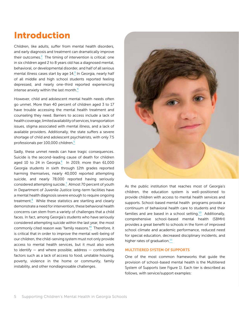# <span id="page-7-0"></span>Introduction

Children, like adults, suffer from mental health disorders, and early diagnosis and treatment can dramatically improve their outcomes. $<sup>2</sup>$  The timing of intervention is critical: one</sup> in six children aged 2 to 8 years old has a diagnosed mental, behavioral, or developmental disorder, and half of all serious mental illness cases start by age  $14<sup>3</sup>$  In Georgia, nearly half of all middle and high school students reported feeling depressed, and nearly one-third reported experiencing intense anxiety within the last month.<sup>4</sup>

However, child and adolescent mental health needs often go unmet. More than 40 percent of children aged 3 to 17 have trouble accessing the mental health treatment and counseling they need. Barriers to access include a lack of health coverage, limited availability of services, transportation issues, stigma associated with mental illness, and a lack of available providers. Additionally, the state suffers a severe shortage of child and adolescent psychiatrists, with only 7.5 professionals per 100,000 children.<sup>5</sup>

Sadly, these unmet needs can have tragic consequences. Suicide is the second-leading cause of death for children aged 10 to 24 in Georgia. $\frac{6}{1}$  In 2019, more than 61,000 Georgia students in sixth through 12th grades reported harming themselves, nearly 40,000 reported attempting suicide, and nearly 78,000 reported having seriously considered attempting suicide.<sup>7</sup> Almost 70 percent of youth in Department of Juvenile Justice long-term facilities have a mental health diagnosis severe enough to require ongoing treatment.<sup>8</sup> While these statistics are startling and clearly demonstrate a need for intervention, these behavioral health concerns can stem from a variety of challenges that a child faces. In fact, among Georgia's students who have seriously considered attempting suicide within the last year, the most commonly cited reason was "family reasons."<sup>9</sup> Therefore, it is critical that in order to improve the mental well-being of our children, the child-serving system must not only provide access to mental health services, but it must also work to identify  $-$  and where possible, address  $-$  contributing factors such as a lack of access to food, unstable housing, poverty, violence in the home or community, family instability, and other nondiagnosable challenges.



As the public institution that reaches most of Georgia's children, the education system is well-positioned to provide children with access to mental health services and supports. School-based mental health programs provide a continuum of behavioral health care to students and their families and are based in a school setting.<sup>10</sup> Additionally, comprehensive school-based mental health (SBMH) provides a great benefit to schools in the form of improved school climate and academic performance, reduced need for special education, decreased disciplinary incidents, and higher rates of graduation. $11$ 

#### MULTITIERED SYSTEM OF SUPPORTS

One of the most common frameworks that guide the provision of school-based mental health is the Multitiered System of Supports (see Figure 1). Each tier is described as follows, with service/support examples: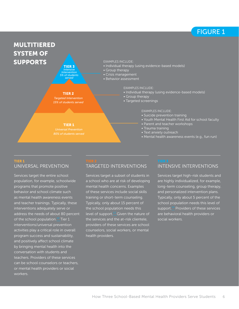# FIGURE 1

# MULTITIERED SYSTEM OF



#### TIER 1 UNIVERSAL PREVENTION

Services target the entire school population, for example, schoolwide programs that promote positive behavior and school climate such as mental health awareness events and teacher trainings. Typically, these interventions adequately serve or address the needs of about 80 percent of the school population. $^{12}$  Tier 1 interventions/universal prevention activities play a critical role in overall program success and sustainability, and positively affect school climate by bringing mental health into the conversation with students and teachers. Providers of these services can be school counselors or teachers, or mental health providers or social workers.

#### TARGETED INTERVENTIONS

Services target a subset of students in a school who are at risk of developing mental health concerns. Examples of these services include social skills training or short-term counseling. Typically, only about 15 percent of the school population needs this level of support. $\frac{13}{2}$  Given the nature of the services and the at-risk clientele, providers of these services are school counselors, social workers, or mental health providers.

# INTENSIVE INTERVENTIONS

Services target high-risk students and are highly individualized, for example, long-term counseling, group therapy, and personalized intervention plans. Typically, only about 5 percent of the school population needs this level of support. $\frac{14}{1}$  Providers of these services are behavioral health providers or social workers.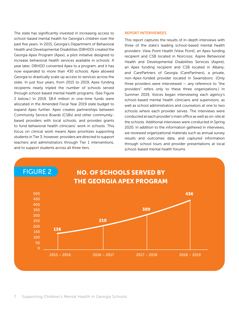The state has significantly invested in increasing access to school-based mental health for Georgia's children over the past five years. In 2015, Georgia's Department of Behavioral Health and Developmental Disabilities (DBHDD) created the Georgia Apex Program (Apex), a pilot initiative designed to increase behavioral health services available in schools. A year later, DBHDD converted Apex to a program, and it has now expanded to more than 430 schools. Apex allowed Georgia to drastically scale up access to services across the state. In just four years, from 2015 to 2019, Apex funding recipients nearly tripled the number of schools served through school-based mental health programs. (See Figure 2 below.) In 2019, \$8.4 million in one-time funds were allocated in the Amended Fiscal Year 2019 state budget to expand Apex further. Apex creates partnerships between Community Service Boards (CSBs) and other communitybased providers with local schools, and provides grants to fund behavioral health clinicians' work in schools. This focus on clinical work means Apex prioritizes supporting students in Tier 3; however, providers are directed to support teachers and administrators through Tier 1 interventions, and to support students across all three tiers.

#### REPORT INTERVIEWEES

This report captures the results of in-depth interviews with three of the state's leading school-based mental health providers: View Point Health (View Point), an Apex funding recipient and CSB located in Norcross; Aspire Behavioral Health and Developmental Disabilities Services (Aspire), an Apex funding recipient and CSB located in Albany; and CarePartners of Georgia (CarePartners), a private, non-Apex-funded provider located in Swainsboro. (Only three providers were interviewed  $-$  any reference to "the providers" refers only to these three organizations.) In Summer 2019, Voices began interviewing each agency's school-based mental health clinicians and supervisors, as well as school administrators and counselors at one to two schools where each provider serves. The interviews were conducted at each provider's main office as well as on-site at the schools. Additional interviews were conducted in Spring 2020. In addition to the information gathered in interviews, we reviewed organizational materials such as annual survey results and outcomes data, and captured information through school tours and provider presentations at local school-based mental health forums.

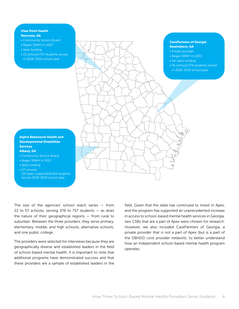#### View Point Health Norcross, GA

- Community Service Board
- Began SBMH in 2007
- Apex funding
- 22 schools/757 students served in 2018-2019 school year



- Private provider
- Began SBMH in 2003
- No Apex funding
- 36 schools/376 students served in 2018-2019 school year

#### Aspire Behavioral Health and Developmental Disabilities Services Albany, GA

- Community Service Board
- Began SBMH in 2013
- Apex funding
- 57 schools (20 Apex-supported)/614 students served 2018-2019 school year

The size of the agencies' school reach varies  $-$  from 22 to 57 schools, serving 376 to 757 students  $-$  as does the nature of their geographical regions — from rural to suburban. Between the three providers, they serve primary, elementary, middle, and high schools; alternative schools; and one public college.

The providers were selected for interviews because they are geographically diverse and established leaders in the field of school-based mental health. It is important to note that additional programs have demonstrated success and that these providers are a sample of established leaders in the field. Given that the state has continued to invest in Apex, and the program has supported an unprecedented increase in access to school-based mental health services in Georgia, two CSBs that are a part of Apex were chosen for research. However, we also included CarePartners of Georgia, a private provider that is not a part of Apex (but is a part of the DBHDD core provider network), to better understand how an independent school-based mental health program operates.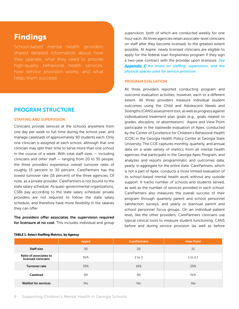# <span id="page-11-0"></span>Findings

School-based mental health providers shared detailed information about how they operate, what they need to provide high-quality behavioral health services, how service provision works, and what helps them succeed.

#### <span id="page-11-1"></span>PROGRAM STRUCTURE

#### <span id="page-11-2"></span>STAFFING AND SUPERVISION

Clinicians provide services at the schools anywhere from one day per week to full-time during the school year, and manage caseloads of approximately 90 students each. Only one clinician is assigned at each school, although that one clinician may split their time to serve more than one school in the course of a week. With total staff sizes  $-$  including clinicians and other staff — ranging from 20 to 30 people, the three providers experience overall turnover rates of roughly 15 percent to 30 percent. CarePartners has the lowest turnover rate (16 percent) of the three agencies. Of note, as a private provider, CarePartners is not bound to the state salary schedule. As quasi-governmental organizations, CSBs pay according to the state salary schedule; private providers are not required to follow the state salary schedule, and therefore have more flexibility in the salaries they can offer.

The providers offer associates the supervision required for licensure at no cost. This includes individual and group

supervision, both of which are conducted weekly for one hour each. All three agencies retain associate-level clinicians on staff after they become licensed, to the greatest extent possible. At Aspire, newly licensed clinicians are eligible to apply for the federal loan forgiveness program if they sign a two-year contract with the provider upon licensure. *See [Appendix C](#page-33-0) for more on staffing, supervision, and the physical spaces used for service provision.*

#### <span id="page-11-3"></span>PROGRAM EVALUATION

All three providers reported conducting program and outcome evaluation activities; however, each to a different extent. All three providers measure individual student outcomes using the Child and Adolescent Needs and Strengths (CANS) assessment tool, as well as progress against individualized treatment plan goals (e.g., goals related to grades, discipline, or absenteeism). Aspire and View Point participate in the statewide evaluation of Apex, conducted by the Center of Excellence for Children's Behavioral Health (COE) in the Georgia Health Policy Center at Georgia State University. The COE captures monthly, quarterly, and annual data on a wide variety of metrics from all mental health agencies that participate in the Georgia Apex Program, and analyzes and reports programmatic and outcomes data, yearly, in aggregate for the entire state. CarePartners, which is not a part of Apex, conducts a more limited evaluation of its school-based mental health work without any outside support. It tracks number of schools and students served, as well as the number of services provided in each school. CarePartners also measures the overall success of their program through quarterly parent and school personnel satisfaction surveys, and yearly or biannual parent and school personnel focus groups. On an individual-patient level, like the other providers, CarePartners clinicians use typical clinical tools to measure student functioning: CANS before and during service provision (as well as before

|                                               | <b>Aspire</b> | <b>CarePartners</b> | <b>View Point</b> |
|-----------------------------------------------|---------------|---------------------|-------------------|
| <b>Staff size</b>                             | 30            | 20                  | 21                |
| Ratio of associates to<br>licensed clinicians | N/A           | $2$ to $3$          | 1 to 2.1          |
| <b>Turnover rate</b>                          | 33%           | 16%                 | 20%               |
| Caseload                                      | 90            | 90                  | N/A               |
| <b>Waitlist for services</b>                  | <b>No</b>     | <b>No</b>           | Yes               |

#### TABLE 1. Select Staffing Metrics, by Agency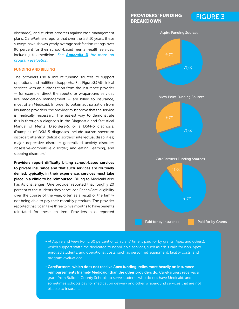discharge), and student progress against case management plans. CarePartners reports that over the last 10 years, these surveys have shown yearly average satisfaction ratings over 90 percent for their school-based mental health services, including telemedicine. *See [Appendix D](#page-34-0) for more on program evaluation.*

#### <span id="page-12-0"></span>FUNDING AND BILLING

The providers use a mix of funding sources to support operations and multitiered supports. (See Figure 3.) All clinical services with an authorization from the insurance provider — for example, direct therapeutic or wraparound services like medication management  $-$  are billed to insurance, most often Medicaid. In order to obtain authorization from insurance providers, the provider must prove that the service is medically necessary. The easiest way to demonstrate this is through a diagnosis in the Diagnostic and Statistical Manual of Mental Disorders-5, or a DSM-5 diagnosis. (Examples of DSM-5 diagnoses include autism spectrum disorder; attention deficit disorders; intellectual disabilities; major depressive disorder; generalized anxiety disorder; obsessive-compulsive disorder; and eating, learning, and sleeping disorders.)

Providers report difficulty billing school-based services to private insurance and that such services are routinely denied; typically, in their experience, services must take place in a clinic to be reimbursed. Billing to Medicaid also has its challenges. One provider reported that roughly 20 percent of the students they serve lose PeachCare eligibility over the course of the year, often as a result of the family not being able to pay their monthly premium. The provider reported that it can take three to five months to have benefits reinstated for these children. Providers also reported

#### PROVIDERS' FUNDING BREAKDOWN

#### FIGURE 3



- At Aspire and View Point, 30 percent of clinicians' time is paid for by grants (Apex and others), which support staff time dedicated to nonbillable services, such as crisis calls for non-Apexenrolled students, and operational costs, such as personnel, equipment, facility costs, and program evaluations.
- CarePartners, which does not receive Apex funding, relies more heavily on insurance reimbursements (namely Medicaid) than the other providers do. CarePartners receives a grant from Bulloch County Schools to serve students who do not have Medicaid, and sometimes schools pay for medication delivery and other wraparound services that are not billable to insurance.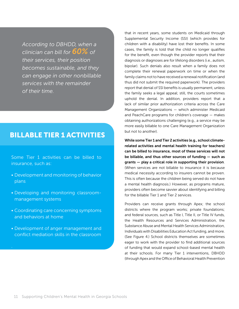*According to DBHDD, when a clinician can bill for 60% of their services, their position becomes sustainable, and they can engage in other nonbillable services with the remainder of their time.*

## BILLABLE TIER 1 ACTIVITIES

Some Tier 1 activities can be billed to insurance, such as:

- Development and monitoring of behavior plans
- Developing and monitoring classroommanagement systems
- Coordinating care concerning symptoms and behaviors at home
- Development of anger management and conflict mediation skills in the classroom

that in recent years, some students on Medicaid through Supplemental Security Income (SSI) (which provides for children with a disability) have lost their benefits. In some cases, the family is told that the child no longer qualifies for the benefit, even though the provider reports that their diagnosis or diagnoses are for lifelong disorders (i.e., autism, bipolar). Such denials also result when a family does not complete their renewal paperwork on time or when the family claims not to have received a renewal notification (and thus did not submit the required paperwork). The providers report that denial of SSI benefits is usually permanent, unless the family seeks a legal appeal; still, the courts sometimes uphold the denial. In addition, providers report that a lack of similar prior authorization criteria across the Care Management Organizations — which administer Medicaid and PeachCare programs for children's coverage — makes obtaining authorizations challenging (e.g., a service may be more easily billable to one Care Management Organization but not to another).

While some Tier 1 and Tier 2 activities (e.g., school climaterelated activities and mental health training for teachers) can be billed to insurance, most of these services will not be billable, and thus other sources of funding — such as grants — play a critical role in supporting their provision. (When services are not billable to insurance it is because medical necessity according to insurers cannot be proven. This is often because the children being served do not have a mental health diagnosis.) However, as programs mature, providers often become savvier about identifying and billing for the billable Tier 1 and Tier 2 services.

Providers can receive grants through Apex; the school districts where the program works; private foundations; and federal sources, such as Title I, Title II, or Title IV funds, the Health Resources and Services Administration, the Substance Abuse and Mental Health Services Administration, Individuals with Disabilities Education Act funding, and more. (See Figure 4.) School districts themselves are sometimes eager to work with the provider to find additional sources of funding that would expand school-based mental health at their schools. For many Tier 1 interventions, DBHDD (through Apex and the Office of Behavioral Health Prevention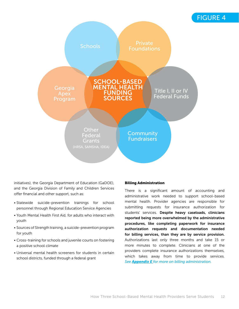# FIGURE 4



initiatives), the Georgia Department of Education (GaDOE), and the Georgia Division of Family and Children Services offer financial and other support, such as:

- Statewide suicide-prevention trainings for school personnel through Regional Education Service Agencies
- Youth Mental Health First Aid, for adults who interact with youth
- Sources of Strength training, a suicide-prevention program for youth
- Cross-training for schools and juvenile courts on fostering a positive school climate
- Universal mental health screeners for students in certain school districts, funded through a federal grant

#### Billing Administration

There is a significant amount of accounting and administrative work needed to support school-based mental health. Provider agencies are responsible for submitting requests for insurance authorization for students' services. Despite heavy caseloads, clinicians reported being more overwhelmed by the administrative procedures, like completing paperwork for insurance authorization requests and documentation needed for billing services, than they are by service provision. Authorizations last only three months and take 15 or more minutes to complete. Clinicians at one of the providers complete insurance authorizations themselves, which takes away from time to provide services. *See [Appendix E](#page-36-0) for more on billing administration.*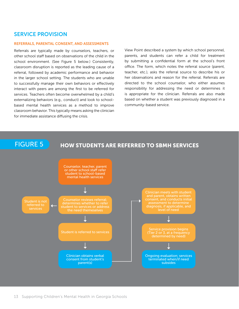#### <span id="page-15-0"></span>SERVICE PROVISION

#### <span id="page-15-1"></span>REFERRALS, PARENTAL CONSENT, AND ASSESSMENTS

Referrals are typically made by counselors, teachers, or other school staff based on observations of the child in the school environment. (See Figure 5 below.) Consistently, classroom disruption is reported as the leading cause of a referral, followed by academic performance and behavior in the larger school setting. The students who are unable to successfully manage their own behaviors or effectively interact with peers are among the first to be referred for services. Teachers often become overwhelmed by a child's externalizing behaviors (e.g., conduct) and look to schoolbased mental health services as a method to improve classroom behavior. This typically means asking the clinician for immediate assistance diffusing the crisis.

View Point described a system by which school personnel, parents, and students can refer a child for treatment by submitting a confidential form at the school's front office. The form, which notes the referral source (parent, teacher, etc.), asks the referral source to describe his or her observations and reason for the referral. Referrals are directed to the school counselor, who either assumes responsibility for addressing the need or determines it is appropriate for the clinician. Referrals are also made based on whether a student was previously diagnosed in a community-based service.

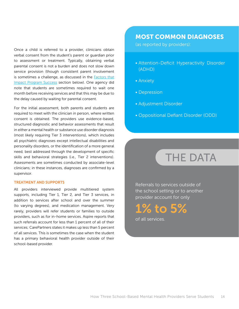Once a child is referred to a provider, clinicians obtain verbal consent from the student's parent or guardian prior to assessment or treatment. Typically, obtaining verbal parental consent is not a burden and does not slow down service provision (though consistent parent involvement is sometimes a challenge, as discussed in the [Factors that](#page-21-0) [Impact Program Success](#page-21-0) section below). One agency did note that students are sometimes required to wait one month before receiving services and that this may be due to the delay caused by waiting for parental consent.

For the initial assessment, both parents and students are required to meet with the clinician in person, where written consent is obtained. The providers use evidence-based, structured diagnostic and behavior assessments that result in either a mental health or substance use disorder diagnosis (most likely requiring Tier 3 interventions), which includes all psychiatric diagnoses except intellectual disabilities and personality disorders, or the identification of a more general need, best addressed through the development of specific skills and behavioral strategies (i.e., Tier 2 interventions). Assessments are sometimes conducted by associate-level clinicians; in these instances, diagnoses are confirmed by a supervisor.

#### <span id="page-16-0"></span>TREATMENT AND SUPPORTS

All providers interviewed provide multitiered system supports, including Tier 1, Tier 2, and Tier 3 services, in addition to services after school and over the summer (to varying degrees), and medication management. Very rarely, providers will refer students or families to outside providers, such as for in-home services. Aspire reports that such referrals account for less than 1 percent of all of their services; CarePartners states it makes up less than 5 percent of all services. This is sometimes the case when the student has a primary behavioral health provider outside of their school-based provider.

#### MOST COMMON DIAGNOSES

(as reported by providers):

- Attention-Deficit Hyperactivity Disorder (ADHD)
- Anxiety
- Depression
- Adjustment Disorder
- Oppositional Defiant Disorder (ODD)

# THE DATA

Referrals to services outside of the school setting or to another provider account for only

1% to 5%

of all services.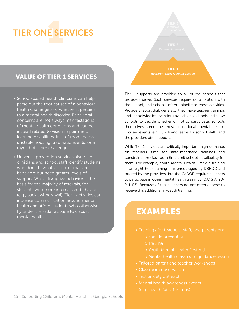# E SE TIER ONE SERVICES

TIER 1 *Research-Based Core Instruction*

# VALUE OF TIER 1 SERVICES

- School-based health clinicians can help parse out the root causes of a behavioral health challenge and whether it pertains to a mental health disorder. Behavioral concerns are not always manifestations of mental health conditions and can be instead related to vision impairment, learning disabilities, lack of food access, unstable housing, traumatic events, or a myriad of other challenges.
- Universal prevention services also help clinicians and school staff identify students who don't have obvious externalized behaviors but need greater levels of support. While disruptive behavior is the basis for the majority of referrals, for students with more internalized behaviors (e.g., social withdrawal), Tier 1 activities can increase communication around mental health and afford students who otherwise fly under the radar a space to discuss mental health.

Tier 1 supports are provided to all of the schools that providers serve. Such services require collaboration with the school, and schools often cofacilitate these activities. Providers report that, generally, they make teacher trainings and schoolwide interventions available to schools and allow schools to decide whether or not to participate. Schools themselves sometimes host educational mental healthfocused events (e.g., lunch and learns for school staff), and the providers offer support.

While Tier 1 services are critically important, high demands on teachers' time for state-mandated trainings and constraints on classroom time limit schools' availability for them. For example, Youth Mental Health First Aid training — an eight-hour training — is encouraged by DBHDD and offered by the providers, but the GaDOE requires teachers to participate in other mental health trainings (O.C.G.A. 20- 2-1185). Because of this, teachers do not often choose to receive this additional in-depth training.

# EXAMPLES

- - o Suicide prevention
	- o Trauma
	-
	-
- 
- Classroom observation
- Test anxiety outreach
- Mental health awareness events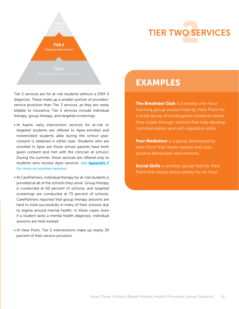

**TIER TWO SERVICES** 

Tier 2 services are for at-risk students without a DSM-5 diagnosis. These make up a smaller portion of providers' service provision than Tier 3 services, as they are rarely billable to insurance. Tier 2 services include individual

TIER 2 *Targeted Intervention*

therapy, group therapy, and targeted screenings.

- At Aspire, early intervention services for at-risk or targeted students are offered to Apex-enrolled and nonenrolled students alike during the school year; consent is obtained in either case. (Students who are enrolled in Apex are those whose parents have both given consent and met with the clinician at school.) During the summer, these services are offered only to students who receive Apex services. *See [Appendix F](#page-37-0) for more on summer services.*
- At CarePartners, individual therapy for at-risk students is provided at all of the schools they serve. Group therapy is conducted at 60 percent of schools, and targeted screenings are conducted at 73 percent of schools. CarePartners reported that group therapy sessions are hard to hold successfully in many of their schools due to stigma around mental health; in these cases, even if a student lacks a mental health diagnosis, individual sessions are held instead.
- At View Point, Tier 2 interventions make up nearly 30 percent of their service provision.

# EXAMPLES

The Breakfast Club is a weekly one-hour morning group session held by View Point for a small group of kindergarten students where they rotate through stations that help develop communication and self-regulation skills.

**Peer Mediation** is a group developed by View Point that meets weekly and uses positive behavioral interventions.

**Social Skills** is another group held by View Point that meets twice weekly for an hour.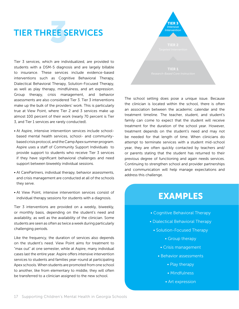# REE S TIER THREE SERVICES

TIER 3 *Intensive Intervention*

Tier 3 services, which are individualized, are provided to students with a DSM-5 diagnosis and are largely billable to insurance. These services include evidence-based interventions such as Cognitive Behavioral Therapy, Dialectical Behavioral Therapy, Solution-Focused Therapy, as well as play therapy, mindfulness, and art expression. Group therapy, crisis management, and behavior assessments are also considered Tier 3. Tier 3 interventions make up the bulk of the providers' work. This is particularly true at View Point, where Tier 2 and 3 services make up almost 100 percent of their work (nearly 70 percent is Tier 3, and Tier 1 services are rarely conducted).

- At Aspire, intensive intervention services include schoolbased mental health services, school- and communitybased crisis protocol, and the Camp Apex summer program. Aspire uses a staff of Community Support Individuals to provide support to students who receive Tier 3 services if they have significant behavioral challenges and need support between biweekly individual sessions.
- At CarePartners, individual therapy, behavior assessments, and crisis management are conducted at all of the schools they serve.
- At View Point, intensive intervention services consist of individual therapy sessions for students with a diagnosis.

Tier 3 interventions are provided on a weekly, biweekly, or monthly basis, depending on the student's need and availability, as well as the availability of the clinician. Some students are seen as often as twice a week during particularly challenging periods.

Like the frequency, the duration of services also depends on the student's need. View Point aims for treatment to "max out" at one semester, while at Aspire, many individual cases last the entire year. Aspire offers intensive intervention services to students and families year-round at participating Apex schools. When students are promoted from one school to another, like from elementary to middle, they will often be transferred to a clinician assigned to the new school.

The school setting does pose a unique issue. Because the clinician is located within the school, there is often an association between the academic calendar and the treatment timeline. The teacher, student, and student's family can come to expect that the student will receive treatment for the duration of the school year. However, treatment depends on the student's need and may not be needed for that length of time. When clinicians do attempt to terminate services with a student mid-school year, they are often quickly contacted by teachers and/ or parents stating that the student has returned to their previous degree of functioning and again needs services. Continuing to strengthen school and provider partnerships and communication will help manage expectations and address this challenge.

# EXAMPLES

- Cognitive Behavioral Therapy
- Dialectical Behavioral Therapy
	- Solution-Focused Therapy
		- Group therapy
		- Crisis management
		- Behavior assessments
			- Play therapy
			- Mindfulness
			- Art expression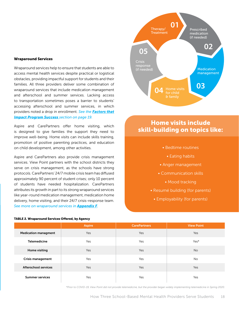#### Wraparound Services

Wraparound services help to ensure that students are able to access mental health services despite practical or logistical obstacles, providing impactful support for students and their families. All three providers deliver some combination of wraparound services that include medication management and afterschool and summer services. Lacking access to transportation sometimes poses a barrier to students' accessing afterschool and summer services, in which providers noted a drop in enrollment. *See the [Factors that](#page-21-0) [Impact Program Success](#page-21-0) section on page 19.*

Aspire and CarePartners offer home visiting, which is designed to give families the support they need to improve well-being. Home visits can include skills training, promotion of positive parenting practices, and education on child development, among other activities.

Aspire and CarePartners also provide crisis management services. View Point partners with the school districts they serve on crisis management, as the schools have strong protocols. CarePartners' 24/7 mobile crisis team has diffused approximately 90 percent of student crises; only 10 percent of students have needed hospitalization. CarePartners attributes its growth in part to its strong wraparound services like year-round medication management, medication home delivery, home visiting, and their 24/7 crisis-response team. *See more on wraparound services in Appendix F.*



### Home visits include skill-building on topics like:

- Bedtime routines
	- Eating habits
- Anger management
- Communication skills
	- Mood tracking
- Resumé building (for parents)
	- Employability (for parents)

|                             | <b>Aspire</b> | <b>CarePartners</b> | <b>View Point</b> |
|-----------------------------|---------------|---------------------|-------------------|
| <b>Medication managment</b> | Yes           | Yes                 | Yes               |
| <b>Telemedicine</b>         | Yes           | Yes                 | Yes*              |
| Home visiting               | Yes           | Yes                 | <b>No</b>         |
| <b>Crisis management</b>    | Yes           | Yes                 | <b>No</b>         |
| Afterschool services        | Yes           | Yes                 | Yes               |
| <b>Summer services</b>      | Yes           | Yes                 | Yes               |

#### TABLE 2. Wraparound Services Offered, by Agency

*\*Prior to COVID-19, View Point did not provide telemedicine, but the provider began widely implementing telemedicine in Spring 2020.*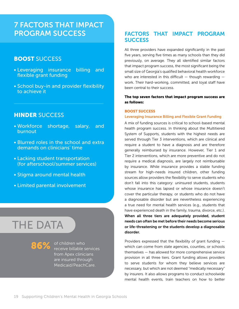# 7 FACTORS THAT IMPACT PROGRAM SUCCESS

#### BOOST SUCCESS

- Leveraging insurance billing and flexible grant funding
- School buy-in and provider flexibility to achieve it

#### HINDER SUCCESS

- Workforce shortage, salary, and burnout
- Blurred roles in the school and extra demands on clinicians' time
- Lacking student transportation (for afterschool/summer services)
- Stigma around mental health
- Limited parental involvement

# THE DATA



of children who 86% of children who<br>receive billable services from Apex clinicians are insured through Medicaid/PeachCare.

#### <span id="page-21-0"></span>FACTORS THAT IMPACT PROGRAM **SUCCESS**

All three providers have expanded significantly in the past five years, serving five times as many schools than they did previously, on average. They all identified similar factors that impact program success, the most significant being the small size of Georgia's qualified behavioral health workforce who are interested in this difficult  $-$  though rewarding  $$ work. Their hard-working, committed, and loyal staff have been central to their success.

#### The top seven factors that impact program success are as follows:

#### BOOST SUCCESS

#### Leveraging Insurance Billing and Flexible Grant Funding

A mix of funding sources is critical to school-based mental health program success. In thinking about the Multitiered System of Supports, students with the highest needs are served through Tier 3 interventions, which are clinical and require a student to have a diagnosis and are therefore generally reimbursed by insurance. However, Tier 1 and Tier 2 interventions, which are more preventive and do not require a medical diagnosis, are largely not reimbursable by insurance. While insurance provides a stable funding stream for high-needs insured children, other funding sources allow providers the flexibility to serve students who don't fall into this category: uninsured students, students whose insurance has lapsed or whose insurance doesn't cover the particular therapy, or students who do not have a diagnosable disorder but are nevertheless experiencing a true need for mental health services (e.g., students that have experienced death in the family, trauma, divorce, etc.). When all three tiers are adequately provided, student needs can often be met before their needs become serious or life-threatening or the students develop a diagnosable disorder.

Providers expressed that the flexibility of grant funding which can come from state agencies, counties, or schools themselves — has allowed for more comprehensive service provision in all three tiers. Grant funding allows providers to serve students for whom they believe services are necessary, but which are not deemed "medically necessary" by insurers. It also allows programs to conduct schoolwide mental health events, train teachers on how to better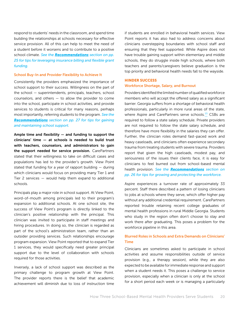respond to students' needs in the classroom, and spend time building the relationships at schools necessary for effective service provision. All of this can help to meet the need of a student before it worsens and to contribute to a positive school climate. *See the [Recommendations](#page-27-0) section on pp. 25 for tips for leveraging insurance billing and flexible grant funding.*

#### School Buy-In and Provider Flexibility to Achieve It

Consistently the providers emphasized the importance of school support to their success. Willingness on the part of the school — superintendents, principals, teachers, school counselors, and others  $-$  to allow the provider to come into the school, participate in school activities, and provide services to students is critical for many reasons, perhaps most importantly, referring students to the program. *See the [Recommendations](#page-29-1) section on pp. 27 for tips for gaining and maintaining school support.*

Ample time and flexibility  $-$  and funding to support the clinicians' time — at schools is needed to build trust with teachers, counselors, and administrators to gain the support needed for service provision. CarePartners stated that their willingness to take on difficult cases and populations has led to the provider's growth. View Point stated that funding for a year of rapport building — during which clinicians would focus on providing many Tier 1 and Tier 2 services  $-$  would help them expand to additional schools.

Principals play a major role in school support. At View Point, word-of-mouth among principals led to their program's expansion to additional schools. At one school site, the success of View Point's program is directly linked to the clinician's positive relationship with the principal. This clinician was invited to participate in staff meetings and hiring procedures. In doing so, the clinician is regarded as part of the school's administration team, rather than an outsider providing services. Such relationships encourage program expansion. View Point reported that to expand Tier 1 services, they would specifically need greater principal support due to the level of collaboration with schools required for those activities.

Inversely, a lack of school support was described as the primary challenge to program growth at View Point. The provider reports there is the belief that academic achievement will diminish due to loss of instruction time if students are enrolled in behavioral health services. View Point reports it has also had to address concerns about clinicians overstepping boundaries with school staff and ensuring that they feel supported. While Aspire does not have trouble gaining support within elementary and middle schools, they do struggle inside high schools, where both teachers and parents/caregivers believe graduation is the top priority and behavioral health needs fall to the wayside.

#### HINDER SUCCESS

#### Workforce Shortage, Salary, and Burnout

Providers identified the limited number of qualified workforce members who will accept the offered salary as a significant barrier. Georgia suffers from a shortage of behavioral health professionals, particularly in more rural areas of the state, where Aspire and CarePartners serve schools.<sup>15</sup> CSBs are required to follow a state salary schedule. Private providers are not required to follow the state salary schedule, and therefore have more flexibility in the salaries they can offer. Further, the clinician roles demand fast-paced work and heavy caseloads, and clinicians often experience secondary trauma from treating students with severe trauma. Providers report that given the high caseloads, modest pay, and seriousness of the issues their clients face, it is easy for clinicians to feel burned out from school-based mental health provision. *See the [Recommendations](#page-28-0) section on pp. 26 for tips for growing and protecting the workforce.*

Aspire experiences a turnover rate of approximately 33 percent. Staff there described a pattern of losing clinicians to jobs at schools where they serve, which offer higher pay without any additional credential requirement. CarePartners reported trouble retaining recent college graduates of mental health professions in rural Middle Georgia. Students who study in the region often don't choose to stay and work there after graduating. This poses a problem for the workforce pipeline in this area.

#### Blurred Roles in Schools and Extra Demands on Clinicians' Time

Clinicians are sometimes asked to participate in school activities and assume responsibilities outside of service provision (e.g., a therapy session), while they are also expected to be available for immediate response and support when a student needs it. This poses a challenge to service provision, especially when a clinician is only at the school for a short period each week or is managing a particularly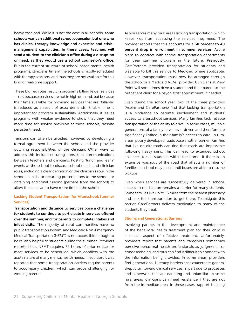heavy caseload. While it is not the case in all schools, some schools want an additional school counselor, but one who has clinical therapy knowledge and expertise and crisismanagement capabilities. In these cases, teachers will send a student to the clinician's office during a disruption or need, as they would use a school counselor's office. But in the current structure of school-based mental health programs, clinicians' time at the schools is mostly scheduled with therapy sessions, and thus they are not available for this kind of real-time support.

These blurred roles result in programs billing fewer services — not because services are not in high demand, but because their time available for providing services that are "billable" is reduced as a result of extra demands. Billable time is important for program sustainability. Additionally, it leaves programs with weaker evidence to show that they need more time for service provision at these schools, despite persistent need.

Tensions can often be avoided, however, by developing a formal agreement between the school and the provider outlining responsibilities of the clinician. Other ways to address this include ensuring consistent communications between teachers and clinicians, hosting "lunch and learn" events at the school to discuss school needs and clinician roles, including a clear definition of the clinician's role in the school in initial or recurring presentations to the school, or obtaining additional funding (perhaps from the school) to allow the clinician to have more time at the school.

#### Lacking Student Transportation (for Afterschool/Summer Services)

Transportation and distance to services pose a challenge for students to continue to participate in services offered over the summer, and for parents to complete intakes and initial visits. The majority of rural communities have no public transportation system, and Medicaid Non-Emergency Medical Transportation (NEMT) is not accessible enough to be reliably helpful to students during the summer. Providers reported that NEMT requires 72 hours of prior notice for most services to be scheduled, which conflicts with the acute nature of many mental health needs. In addition, it was reported that some transportation carriers require parents to accompany children, which can prove challenging for working parents.

Aspire serves many rural areas lacking transportation, which keeps kids from accessing the services they need. The provider reports that this accounts for a 30 percent to 40 percent drop in enrollment in summer services. Aspire plans to contract with school transportation departments for their summer program in the future. Previously, CarePartners provided transportation for students and was able to bill this service to Medicaid where applicable. However, transportation must now be arranged through the school or a Medicaid NEMT provider. Clinicians at View Point will sometimes drive a student and their parent to the outpatient clinic for a psychiatrist appointment, if needed.

Even during the school year, two of the three providers (Aspire and CarePartners) find that lacking transportation is a hindrance to parental involvement and students' access to afterschool services. Many families lack reliable transportation or the ability to drive. In some cases, multiple generations of a family have never driven and therefore are significantly limited in their family's access to care. In rural areas, poorly developed roads pose another barrier. Families that live on dirt roads can find that roads are impassable following heavy rains. This can lead to extended school absences for all students within the home. If there is an extensive washout of the road that affects a number of families, a school may close until buses are able to resume pickups.

Even when services are successfully delivered in school, access to medication remains a barrier for many students. Some families live up to 15 miles from the nearest pharmacy and lack the transportation to get there. To mitigate this barrier, CarePartners delivers medication to many of the students they treat.

#### Stigma and Generational Barriers

Involving parents in the development and maintenance of the behavioral health treatment plan for their child is a critical aspect of effective treatment. Unfortunately, providers report that parents and caregivers sometimes perceive behavioral health professionals as judgmental or condescending, and thus can find it difficult to connect with the information being provided. In some areas, providers find generational illiteracy barriers that exacerbate general skepticism toward clinical services, in part due to processes and paperwork that are daunting and unfamiliar. In some rural areas, clinicians can meet resistance if they are not from the immediate area. In these cases, rapport-building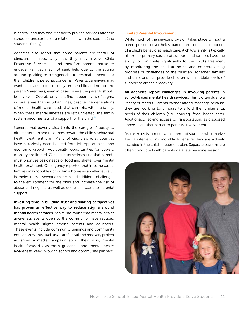is critical, and they find it easier to provide services after the school counselor builds a relationship with the student (and student's family).

Agencies also report that some parents are fearful of clinicians — specifically that they may involve Child Protective Services — and therefore parents refuse to engage. Families may not seek help due to the stigma around speaking to strangers about personal concerns (or their children's personal concerns). Parents/caregivers may want clinicians to focus solely on the child and not on the parents/caregivers, even in cases where the parents should be involved. Overall, providers find deeper levels of stigma in rural areas than in urban ones, despite the generations of mental health care needs that can exist within a family. When these mental illnesses are left untreated, the family system becomes less of a support for the child. $^{16}$ 

Generational poverty also limits the caregivers' ability to direct attention and resources toward the child's behavioral health treatment plan. Many of Georgia's rural counties have historically been isolated from job opportunities and economic growth. Additionally, opportunities for upward mobility are limited. Clinicians sometimes find that parents must prioritize basic needs of food and shelter over mental health treatment. One agency reported that in some cases, families may "double up" within a home as an alternative to homelessness, a scenario that can add additional challenges to the environment for the child and increase the risk of abuse and neglect, as well as decrease access to parental support.

Investing time in building trust and sharing perspectives has proven an effective way to reduce stigma around mental health services. Aspire has found that mental health awareness events open to the community have reduced mental health stigma among parents and educators. These events include community trainings and community education events, such as an art festival and recovery project art show, a media campaign about their work, mental health-focused classroom guidance, and mental health awareness week involving school and community partners.

#### Limited Parental Involvement

While much of the service provision takes place without a parent present, nevertheless parents are a critical component of a child's behavioral health care. A child's family is typically his or her primary source of support, and families have the ability to contribute significantly to the child's treatment by monitoring the child at home and communicating progress or challenges to the clinician. Together, families and clinicians can provide children with multiple levels of support to aid their recovery.

All agencies report challenges in involving parents in school-based mental health services. This is often due to a variety of factors. Parents cannot attend meetings because they are working long hours to afford the fundamental needs of their children (e.g., housing, food, health care). Additionally, lacking access to transportation, as discussed above, is another barrier to parents' involvement.

Aspire expects to meet with parents of students who receive Tier 3 interventions monthly to ensure they are actively included in the child's treatment plan. Separate sessions are often conducted with parents via a telemedicine session.

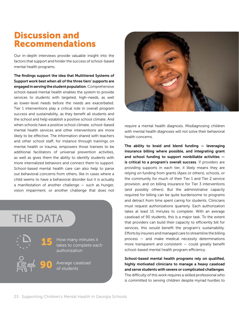# <span id="page-25-0"></span>Discussion and Recommendations

Our in-depth interviews provide valuable insight into the factors that support and hinder the success of school-based mental health programs.

The findings support the idea that Multitiered Systems of Support work best when all of the three tiers' supports are engaged in serving the student population. Comprehensive school-based mental health enables the system to provide services to students with targeted, high-needs, as well as lower-level needs before the needs are exacerbated. Tier 1 interventions play a critical role in overall program success and sustainability, as they benefit all students and the school and help establish a positive school climate. And when schools have a positive school climate, school-based mental health services and other interventions are more likely to be effective. The information shared with teachers and other school staff, for instance through trainings on mental health or trauma, empowers those trainees to be additional facilitators of universal prevention activities, as well as gives them the ability to identify students with more internalized behaviors and connect them to support. School-based mental health care can also help to parse out behavioral concerns from others, like in cases where a child seems to have a behavioral disorder but it is actually a manifestation of another challenge  $-$  such as hunger, vision impairment, or another challenge that does not





require a mental health diagnosis. Misdiagnosing children with mental health diagnoses will not solve their behavioral health concerns.

The ability to braid and blend funding  $-$  leveraging insurance billing where possible, and integrating grant and school funding to support nonbillable activities is critical to a program's overall success. If providers are providing supports in each tier, it likely means they are relying on funding from grants (Apex or others), schools, or the community for much of their Tier 1 and Tier 2 service provision, and on billing insurance for Tier 3 interventions (and possibly others). But the administrative capacity required for billing can be quite burdensome to programs and detract from time spent caring for students. Clinicians must request authorizations quarterly. Each authorization takes at least 15 minutes to complete. With an average caseload of 90 students, this is a major task. To the extent that providers can build their capacity to efficiently bill for services, this would benefit the program's sustainability. Efforts by insurers and managed care to streamline the billing process — and make medical necessity determinations more transparent and consistent — could greatly benefit school-based mental health program efficiency.

School-based mental health programs rely on qualified, highly motivated clinicians to manage a heavy caseload and serve students with severe or complicated challenges. The difficulty of this work requires a skilled professional who is committed to serving children despite myriad hurdles to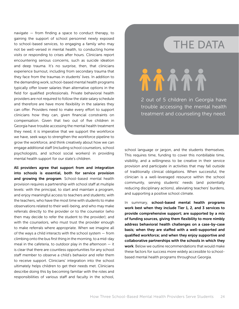navigate — from finding a space to conduct therapy, to gaining the support of school personnel newly exposed to school-based services, to engaging a family who may not be well-versed in mental health, to conducting home visits or responding to crises after hours. Clinicians report encountering serious concerns, such as suicide ideation and deep trauma. It's no surprise, then, that clinicians experience burnout, including from secondary trauma that they face from the traumas in students' lives. In addition to the demanding work, school-based mental health programs typically offer lower salaries than alternative options in the field for qualified professionals. Private behavioral health providers are not required to follow the state salary schedule and therefore are have more flexibility in the salaries they can offer. Providers need to make every effort to support clinicians how they can, given financial constraints on compensation. Given that two out of five children in Georgia have trouble accessing the mental health treatment they need, it is imperative that we support the workforce we have, seek ways to strengthen the workforce pipeline to grow the workforce, and think creatively about how we can engage additional staff (including school counselors, school psychologists, and school social workers) in providing mental health support for our state's children.

All providers agree that support from and integration into schools is essential, both for service provision and growing the program. School-based mental health provision requires a partnership with school staff at multiple levels: with the principal, to start and maintain a program, and enjoy meaningful access to teachers and students; with the teachers, who have the most time with students to make observations related to their well-being, and who may make referrals directly to the provider or to the counselor (who then may decide to refer the student to the provider); and with the counselors, who must trust the provider enough to make referrals where appropriate. When we imagine all of the ways a child interacts with the school system — from climbing onto the bus first thing in the morning, to a mid-day meal in the cafeteria, to outdoor play in the afternoon  $-$  it is clear that there are countless opportunities for any school staff member to observe a child's behavior and refer them to receive support. Clinicians' integration into the school ultimately helps children to get their needs met. Clinicians describe doing this by becoming familiar with the roles and responsibilities of various staff and faculty in the school,

# THE DATA

# ሸሸሸሸ

2 out of 5 children in Georgia have trouble accessing the mental health treatment and counseling they need.

school language or jargon, and the students themselves. This requires time, funding to cover this nonbillable time, visibility, and a willingness to be creative in their service provision and participate in activities that may fall outside of traditionally clinical obligations. When successful, the clinician is a well-leveraged resource within the school community, serving students' needs (and potentially reducing disciplinary actions), alleviating teachers' burdens, and supporting a positive school climate.

In summary, school-based mental health programs work best when they include Tier 1, 2, and 3 services to provide comprehensive support; are supported by a mix of funding sources, giving them flexibility to more nimbly address behavioral health challenges on a case-by-case basis; when they are staffed with a well-supported and qualified workforce; and when they enjoy supportive and collaborative partnerships with the schools in which they work. Below we outline recommendations that would make these factors for success more widely accessible to schoolbased mental health programs throughout Georgia.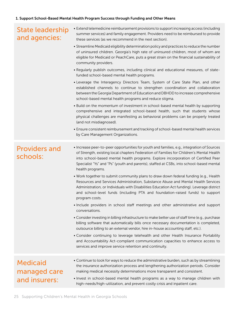#### <span id="page-27-0"></span>1. Support School-Based Mental Health Program Success through Funding and Other Means

| <b>State leadership</b><br>and agencies: | • Extend telemedicine reimbursement provisions to support increasing access (including<br>summer services) and family engagement. Providers need to be reimbursed to provide<br>these services (as we recommend in the next section).<br>• Streamline Medicaid eligibility determination policy and practices to reduce the number<br>of uninsured children. Georgia's high rate of uninsured children, most of whom are<br>eligible for Medicaid or PeachCare, puts a great strain on the financial sustainability of<br>community providers.<br>• Regularly publish outcomes, including clinical and educational measures, of state-<br>funded school-based mental health programs.<br>. Leverage the Interagency Directors Team, System of Care State Plan, and other<br>established channels to continue to strengthen coordination and collaboration<br>between the Georgia Department of Education and DBHDD to increase comprehensive<br>school-based mental health programs and reduce stigma.<br>. Build on the momentum of investment in school-based mental health by supporting<br>comprehensive and integrated school-based health, such that students whose<br>physical challenges are manifesting as behavioral problems can be properly treated<br>(and not misdiagnosed).<br>• Ensure consistent reimbursement and tracking of school-based mental health services |
|------------------------------------------|-------------------------------------------------------------------------------------------------------------------------------------------------------------------------------------------------------------------------------------------------------------------------------------------------------------------------------------------------------------------------------------------------------------------------------------------------------------------------------------------------------------------------------------------------------------------------------------------------------------------------------------------------------------------------------------------------------------------------------------------------------------------------------------------------------------------------------------------------------------------------------------------------------------------------------------------------------------------------------------------------------------------------------------------------------------------------------------------------------------------------------------------------------------------------------------------------------------------------------------------------------------------------------------------------------------------------------------------------------------------------------------|
|                                          | by Care Management Organizations.                                                                                                                                                                                                                                                                                                                                                                                                                                                                                                                                                                                                                                                                                                                                                                                                                                                                                                                                                                                                                                                                                                                                                                                                                                                                                                                                                   |
| <b>Providers and</b><br>schools:         | • Increase peer-to-peer opportunities for youth and families, e.g., integration of Sources<br>of Strength, existing local chapters Federation of Families for Children's Mental Health<br>into school-based mental health programs. Explore incorporation of Certified Peer<br>Specialist "Ys" and "Ps" (youth and parents), staffed at CSBs, into school-based mental<br>health programs.<br>. Work together to submit community plans to draw down federal funding (e.g., Health                                                                                                                                                                                                                                                                                                                                                                                                                                                                                                                                                                                                                                                                                                                                                                                                                                                                                                  |
|                                          | Resources and Services Administration, Substance Abuse and Mental Health Services<br>Administration, or Individuals with Disabilities Education Act funding). Leverage district<br>and school-level funds (including PTA and foundation-raised funds) to support<br>program costs.                                                                                                                                                                                                                                                                                                                                                                                                                                                                                                                                                                                                                                                                                                                                                                                                                                                                                                                                                                                                                                                                                                  |
|                                          | . Include providers in school staff meetings and other administrative and support<br>conversations.                                                                                                                                                                                                                                                                                                                                                                                                                                                                                                                                                                                                                                                                                                                                                                                                                                                                                                                                                                                                                                                                                                                                                                                                                                                                                 |
|                                          | • Consider investing in billing infrastructure to make better use of staff time (e.g., purchase<br>billing software that automatically bills once necessary documentation is completed,<br>outsource billing to an external vendor, hire in-house accounting staff, etc.).                                                                                                                                                                                                                                                                                                                                                                                                                                                                                                                                                                                                                                                                                                                                                                                                                                                                                                                                                                                                                                                                                                          |
|                                          | . Consider continuing to leverage telehealth and other Health Insurance Portability<br>and Accountability Act-compliant communication capacities to enhance access to<br>services and improve service retention and continuity.                                                                                                                                                                                                                                                                                                                                                                                                                                                                                                                                                                                                                                                                                                                                                                                                                                                                                                                                                                                                                                                                                                                                                     |
| <b>Medicaid</b><br>managed care          | • Continue to look for ways to reduce the administrative burden, such as by streamlining<br>the insurance authorization process and lengthening authorization periods. Consider<br>making medical necessity determinations more transparent and consistent.                                                                                                                                                                                                                                                                                                                                                                                                                                                                                                                                                                                                                                                                                                                                                                                                                                                                                                                                                                                                                                                                                                                         |
| and insurers:                            | . Invest in school-based mental health programs as a way to manage children with<br>high-needs/high-utilization, and prevent costly crisis and inpatient care.                                                                                                                                                                                                                                                                                                                                                                                                                                                                                                                                                                                                                                                                                                                                                                                                                                                                                                                                                                                                                                                                                                                                                                                                                      |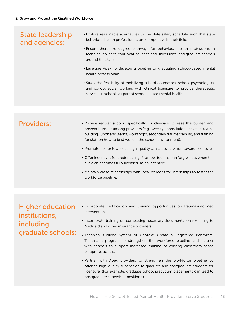## <span id="page-28-0"></span>State leadership and agencies:

- Explore reasonable alternatives to the state salary schedule such that state behavioral health professionals are competitive in their field.
- Ensure there are degree pathways for behavioral health professions in technical colleges, four-year colleges and universities, and graduate schools around the state.
- Leverage Apex to develop a pipeline of graduating school-based mental health professionals.
- Study the feasibility of mobilizing school counselors, school psychologists, and school social workers with clinical licensure to provide therapeutic services in schools as part of school-based mental health.

## Providers:

- Provide regular support specifically for clinicians to ease the burden and prevent burnout among providers (e.g., weekly appreciation activities, teambuilding, lunch and learns, workshops, secondary trauma training, and training for staff on how to best work in the school environment).
- Promote no- or low-cost, high-quality clinical supervision toward licensure.
- Offer incentives for credentialing. Promote federal loan forgiveness when the clinician becomes fully licensed, as an incentive.
- Maintain close relationships with local colleges for internships to foster the workforce pipeline.

# Higher education institutions, including graduate schools:

- Incorporate certification and training opportunities on trauma-informed interventions.
- Incorporate training on completing necessary documentation for billing to Medicaid and other insurance providers.
- Technical College System of Georgia: Create a Registered Behavioral Technician program to strengthen the workforce pipeline and partner with schools to support increased training of existing classroom-based paraprofessionals.
- Partner with Apex providers to strengthen the workforce pipeline by offering high-quality supervision to graduate and postgraduate students for licensure. (For example, graduate school practicum placements can lead to postgraduate supervised positions.)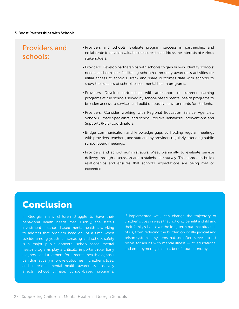## <span id="page-29-1"></span>Providers and schools:

- Providers and schools: Evaluate program success in partnership, and collaborate to develop valuable measures that address the interests of various stakeholders.
- Providers: Develop partnerships with schools to gain buy-in. Identify schools' needs, and consider facilitating school/community awareness activities for initial access to schools. Track and share outcomes data with schools to show the success of school-based mental health programs.
- Providers: Develop partnerships with afterschool or summer learning programs at the schools served by school-based mental health programs to broaden access to services and build on positive environments for students.
- Providers: Consider working with Regional Education Service Agencies, School Climate Specialists, and school Positive Behavioral Interventions and Supports (PBIS) coordinators.
- Bridge communication and knowledge gaps by holding regular meetings with providers, teachers, and staff and by providers regularly attending public school board meetings.
- Providers and school administrators: Meet biannually to evaluate service delivery through discussion and a stakeholder survey. This approach builds relationships and ensures that schools' expectations are being met or exceeded.

# <span id="page-29-0"></span>Conclusion

In Georgia, many children struggle to have their behavioral health needs met. Luckily, the state's investment in school-based mental health is working to address that problem head-on. At a time when suicide among youth is increasing and school safety is a major public concern, school-based mental health programs play a critically important role. Early diagnosis and treatment for a mental health diagnosis can dramatically improve outcomes in children's lives, and increased mental health awareness positively affects school climate. School-based programs, if implemented well, can change the trajectory of children's lives in ways that not only benefit a child and their family's lives over the long term but that affect all of us, from reducing the burden on costly judicial and prison systems — systems that, too often, serve as a last resort for adults with mental illness — to educational and employment gains that benefit our economy.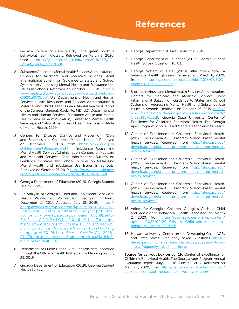# <span id="page-30-0"></span>References

- <span id="page-30-1"></span>1 Georgia System of Care. (2018) Little green book: a behavioral health glossary. Retrieved on March 8, 2020, from [https://gacoeonline.gsu.edu/files/2018/07/SOC\\_](https://gacoeonline.gsu.edu/files/2018/07/SOC_Pocket_Guide_7-3-18.pdf) [Pocket\\_Guide\\_7-3-18.pdf](https://gacoeonline.gsu.edu/files/2018/07/SOC_Pocket_Guide_7-3-18.pdf)
- <span id="page-30-2"></span>2 Substance Abuse and Mental Health Services Administration, Centers for Medicare and Medicaid Services. Joint Informational Bulletin on Guidance to States and School Systems on Addressing Mental Health and Substance Use Issues in Schools. Retrieved on October 25, 2019. [https://](https://www.medicaid.gov/federal-policy-guidance/downloads/CIB20190701.pdf) [www.medicaid.gov/federal-policy-guidance/downloads/](https://www.medicaid.gov/federal-policy-guidance/downloads/CIB20190701.pdf) [CIB20190701.pdf;](https://www.medicaid.gov/federal-policy-guidance/downloads/CIB20190701.pdf) U.S. Department of Health and Human Services Health Resources and Services Administration & Maternal and Child Health Bureau. Mental health: A report of the Surgeon General. Rockville, MD: U.S. Department of Health and Human Services, Substance Abuse and Mental Health Services Administration, Center for Mental Health Services, and National Institutes of Health, National Institute of Mental Health; 1999.
- <span id="page-30-3"></span>3 Centers for Disease Control and Prevention. "Data and Statistics on Children's Mental Health." Retrieved on December 1, 2019, from [https://www.cdc.gov/](https://www.cdc.gov/childrensmentalhealth/data.html) [childrensmentalhealth/data.html;](https://www.cdc.gov/childrensmentalhealth/data.html) Substance Abuse and Mental Health Services Administration, Centers for Medicare and Medicaid Services. Joint Informational Bulletin on Guidance to States and School Systems on Addressing Mental Health and Substance Use Issues in Schools. Retrieved on October 25, 2019. [https://www.medicaid.gov/](https://www.medicaid.gov/federal-policy-guidance/downloads/CIB20190701.pdf) [federal-policy-guidance/downloads/CIB20190701.pdf](https://www.medicaid.gov/federal-policy-guidance/downloads/CIB20190701.pdf)
- <span id="page-30-4"></span>4 Georgia Department of Education (2019). Georgia Student Health Survey.
- <span id="page-30-5"></span>5 "An Analysis of Georgia's Child and Adolescent Behavioral Health Workforce," Voices for Georgia's Children, December 11, 2017. Accessed July 12, 2019. [https://](https://georgiavoices.org/wp-content/uploads/2018/01/2017-Behavioral-Health-Workforce-Analysis.pdf?utm_source=Unknown+List&utm_campaign=b50b9b1e4c-EMAIL_CAMPAIGN_2018_01_17&utm_medium=email&utm_term=0_-b50b9b1e4c-&utm_source=Voices+Master+List&utm_campaig) [georgiavoices.org/wp-content/uploads/2018/01/2017-](https://georgiavoices.org/wp-content/uploads/2018/01/2017-Behavioral-Health-Workforce-Analysis.pdf?utm_source=Unknown+List&utm_campaign=b50b9b1e4c-EMAIL_CAMPAIGN_2018_01_17&utm_medium=email&utm_term=0_-b50b9b1e4c-&utm_source=Voices+Master+List&utm_campaig) [Behavioral-Health-Workforce-Analysis.pdf?utm\\_](https://georgiavoices.org/wp-content/uploads/2018/01/2017-Behavioral-Health-Workforce-Analysis.pdf?utm_source=Unknown+List&utm_campaign=b50b9b1e4c-EMAIL_CAMPAIGN_2018_01_17&utm_medium=email&utm_term=0_-b50b9b1e4c-&utm_source=Voices+Master+List&utm_campaig) [source=Unknown+List&utm\\_campaign=b50b9b1e4c-](https://georgiavoices.org/wp-content/uploads/2018/01/2017-Behavioral-Health-Workforce-Analysis.pdf?utm_source=Unknown+List&utm_campaign=b50b9b1e4c-EMAIL_CAMPAIGN_2018_01_17&utm_medium=email&utm_term=0_-b50b9b1e4c-&utm_source=Voices+Master+List&utm_campaig)[EMAIL\\_CAMPAIGN\\_2018\\_01\\_17&utm\\_](https://georgiavoices.org/wp-content/uploads/2018/01/2017-Behavioral-Health-Workforce-Analysis.pdf?utm_source=Unknown+List&utm_campaign=b50b9b1e4c-EMAIL_CAMPAIGN_2018_01_17&utm_medium=email&utm_term=0_-b50b9b1e4c-&utm_source=Voices+Master+List&utm_campaig) [medium=email&utm\\_term=0\\_-b50b9b1e4c-](https://georgiavoices.org/wp-content/uploads/2018/01/2017-Behavioral-Health-Workforce-Analysis.pdf?utm_source=Unknown+List&utm_campaign=b50b9b1e4c-EMAIL_CAMPAIGN_2018_01_17&utm_medium=email&utm_term=0_-b50b9b1e4c-&utm_source=Voices+Master+List&utm_campaig) [&utm\\_source=Voices+Master+List&utm\\_](https://georgiavoices.org/wp-content/uploads/2018/01/2017-Behavioral-Health-Workforce-Analysis.pdf?utm_source=Unknown+List&utm_campaign=b50b9b1e4c-EMAIL_CAMPAIGN_2018_01_17&utm_medium=email&utm_term=0_-b50b9b1e4c-&utm_source=Voices+Master+List&utm_campaig) [campaign=b50b9b1e4c-EMAIL\\_CAMPAIGN\\_2018\\_](https://georgiavoices.org/wp-content/uploads/2018/01/2017-Behavioral-Health-Workforce-Analysis.pdf?utm_source=Unknown+List&utm_campaign=b50b9b1e4c-EMAIL_CAMPAIGN_2018_01_17&utm_medium=email&utm_term=0_-b50b9b1e4c-&utm_source=Voices+Master+List&utm_campaig) [01\\_17&utm\\_medium=email&utm\\_term=0\\_da24a184d9](https://georgiavoices.org/wp-content/uploads/2018/01/2017-Behavioral-Health-Workforce-Analysis.pdf?utm_source=Unknown+List&utm_campaign=b50b9b1e4c-EMAIL_CAMPAIGN_2018_01_17&utm_medium=email&utm_term=0_-b50b9b1e4c-&utm_source=Voices+Master+List&utm_campaig) [b50b9b1e4c-56401797](https://georgiavoices.org/wp-content/uploads/2018/01/2017-Behavioral-Health-Workforce-Analysis.pdf?utm_source=Unknown+List&utm_campaign=b50b9b1e4c-EMAIL_CAMPAIGN_2018_01_17&utm_medium=email&utm_term=0_-b50b9b1e4c-&utm_source=Voices+Master+List&utm_campaig)
- <span id="page-30-6"></span>6 Department of Public Health, Vital Records data, accessed through the Office of Health Indicators for Planning on July 29, 2019.
- <span id="page-30-7"></span>7 Georgia Department of Education (2019). Georgia Student Health Survey.
- <span id="page-30-8"></span>8 Georgia Department of Juvenile Justice (2019).
- <span id="page-30-9"></span>9 Georgia Department of Education (2019). Georgia Student Health Survey. Question No. 63.
- <span id="page-30-10"></span>10 Georgia System of Care. (2018) Little green book: a behavioral health glossary. Retrieved on March 8, 2020, from [https://gacoeonline.gsu.edu/files/2018/07/SOC\\_](https://gacoeonline.gsu.edu/files/2018/07/SOC_Pocket_Guide_7-3-18.pdf) [Pocket\\_Guide\\_7-3-18.pdf.](https://gacoeonline.gsu.edu/files/2018/07/SOC_Pocket_Guide_7-3-18.pdf)
- <span id="page-30-11"></span>11 Substance Abuse and Mental Health Services Administration, Centers for Medicare and Medicaid Services. Joint Informational Bulletin on Guidance to States and School Systems on Addressing Mental Health and Substance Use Issues in Schools. Retrieved on October 25, 2019. [https://](https://www.medicaid.gov/federal-policy-guidance/downloads/CIB20190701.pdf) [www.medicaid.gov/federal-policy-guidance/downloads/](https://www.medicaid.gov/federal-policy-guidance/downloads/CIB20190701.pdf) [CIB20190701.pdf;](https://www.medicaid.gov/federal-policy-guidance/downloads/CIB20190701.pdf) Georgia State University Center of Excellence for Children's Behavioral Health. The Georgia Apex Program: School-Based Mental Health Services, Year 3.
- <span id="page-30-12"></span>12 Center of Excellence for Children's Behavioral Health. (2017). The Georgia APEX Program: School-based mental health services. Retrieved from [http://ghpc.gsu.edu/](ttp://ghpc.gsu.edu/download/georgia-apex-program-school-based-mental-health-services/) [download/georgia-apex-program-school-based-mental](ttp://ghpc.gsu.edu/download/georgia-apex-program-school-based-mental-health-services/)[health-services/](ttp://ghpc.gsu.edu/download/georgia-apex-program-school-based-mental-health-services/)
- <span id="page-30-13"></span>13 Center of Excellence for Children's Behavioral Health. (2017). The Georgia APEX Program: School-based mental health services. Retrieved from [http://ghpc.gsu.edu/](http://ghpc.gsu.edu/download/georgia-apex-program-school-based-mental-health-services/) [download/georgia-apex-program-school-based-mental](http://ghpc.gsu.edu/download/georgia-apex-program-school-based-mental-health-services/)[health-services/](http://ghpc.gsu.edu/download/georgia-apex-program-school-based-mental-health-services/)
- <span id="page-30-14"></span>14 Center of Excellence for Children's Behavioral Health. (2017). The Georgia APEX Program: School-based mental health services. Retrieved from [http://ghpc.gsu.edu/](http://ghpc.gsu.edu/download/georgia-apex-program-school-based-mental-health-services/) [download/georgia-apex-program-school-based-mental](http://ghpc.gsu.edu/download/georgia-apex-program-school-based-mental-health-services/)[health-services/](http://ghpc.gsu.edu/download/georgia-apex-program-school-based-mental-health-services/)
- <span id="page-30-15"></span>15 Voices for Georgia's Children. Georgia's Crisis in Child and Adolescent Behavioral Health. Accessed on March 2, 2020, from [https://georgiavoices.org/wp-content/](https://georgiavoices.org/wp-content/uploads/2020/02/20.-Crisis-in-Child-and-Adolescent-Behavioral-Health-2020.pdf) [uploads/2020/02/20.-Crisis-in-Child-and-Adolescent-](https://georgiavoices.org/wp-content/uploads/2020/02/20.-Crisis-in-Child-and-Adolescent-Behavioral-Health-2020.pdf)[Behavioral-Health-2020.pdf](https://georgiavoices.org/wp-content/uploads/2020/02/20.-Crisis-in-Child-and-Adolescent-Behavioral-Health-2020.pdf)
- <span id="page-30-16"></span>16 Harvard University: Center on the Developing Child. ACEs and Toxic Stress: Frequently Asked Questions. [https://](https://developingchild.harvard.edu/resources/aces-and-toxic-stress-frequently-asked-questions/) [developingchild.harvard.edu/resources/aces-and-toxic](https://developingchild.harvard.edu/resources/aces-and-toxic-stress-frequently-asked-questions/)[stress-frequently-asked-questions/](https://developingchild.harvard.edu/resources/aces-and-toxic-stress-frequently-asked-questions/)

Source for call-out box on pg. 19: Center of Excellence for Children's Behavioral Health. The Georgia Apex Program Annual Evaluation Report, July 1, 2016-June 30, 2017. Retrieved on March 2, 2020, from [https://gacoeonline.gsu.edu/download/](https://gacoeonline.gsu.edu/download/apex-school-based-mental-health-year-two-report/) [apex-school-based-mental-health-year-two-report/](https://gacoeonline.gsu.edu/download/apex-school-based-mental-health-year-two-report/).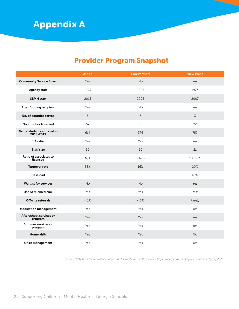# <span id="page-31-0"></span>Appendix A

# Provider Program Snapshot

|                                          | <b>Aspire</b> | <b>CarePartners</b> | <b>View Point</b> |
|------------------------------------------|---------------|---------------------|-------------------|
| <b>Community Service Board</b>           | Yes           | <b>No</b>           | Yes               |
| Agency start                             | 1993          | 2003                | 1976              |
| <b>SBMH</b> start                        | 2013          | 2003                | 2007              |
| Apex funding recipient                   | Yes           | <b>No</b>           | Yes               |
| No. of counties served                   | $8\,$         | $\overline{3}$      | $\overline{3}$    |
| No. of schools served                    | 57            | 36                  | 22                |
| No. of students enrolled in<br>2018-2019 | 614           | 376                 | 757               |
| 1:1 ratio                                | Yes           | Yes                 | Yes               |
| <b>Staff size</b>                        | 30            | 20                  | 21                |
| Ratio of associates to<br>licensed       | N/A           | $2$ to $3$          | 10 to 21          |
| Turnover rate                            | 33%           | 16%                 | 20%               |
| Caseload                                 | 90            | 90                  | N/A               |
| <b>Waitlist for services</b>             | <b>No</b>     | <b>No</b>           | Yes               |
| Use of telemedicine                      | Yes           | Yes                 | Yes*              |
| Off-site referrals                       | $< 1\%$       | < 5%                | Rarely            |
| <b>Medication management</b>             | Yes           | Yes                 | Yes               |
| Afterschool services or<br>program       | Yes           | Yes                 | Yes               |
| Summer services or<br>program            | Yes           | Yes                 | Yes               |
| Home visits                              | Yes           | Yes                 | <b>No</b>         |
| Crisis management                        | Yes           | Yes                 | Yes               |

*\*Prior to COVID-19, View Point did not provide telemedicine, but the provider began widely implementing telemedicine in Spring 2020.*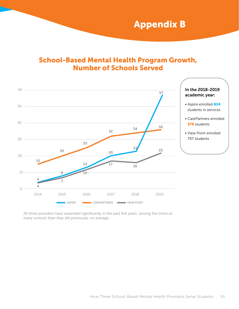# <span id="page-32-0"></span>Appendix B

## School-Based Mental Health Program Growth, Number of Schools Served



*All three providers have expanded significantly in the past five years, serving five times as many schools than they did previously, on average.*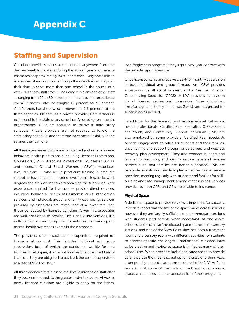# <span id="page-33-0"></span>Staffing and Supervision

Clinicians provide services at the schools anywhere from one day per week to full-time during the school year and manage caseloads of approximately 90 students each. Only one clinician is assigned at each school, although the one clinician may split their time to serve more than one school in the course of a week. With total staff sizes — including clinicians and other staff — ranging from 20 to 30 people, the three providers experience overall turnover rates of roughly 15 percent to 30 percent. CarePartners has the lowest turnover rate (16 percent) of the three agencies. Of note, as a private provider, CarePartners is not bound to the state salary schedule. As quasi-governmental organizations, CSBs are required to follow a state salary schedule. Private providers are not required to follow the state salary schedule, and therefore have more flexibility in the salaries they can offer.

All three agencies employ a mix of licensed and associate-level behavioral health professionals, including Licensed Professional Counselors (LPCs), Associate Professional Counselors (APCs), and Licensed Clinical Social Workers (LCSWs). Associatelevel clinicians — who are in practicum training in graduate school, or have obtained master's-level counseling/social work degrees and are working toward obtaining the supervised work experience required for licensure — provide direct services, including behavioral health assessments; crisis intervention services; and individual, group, and family counseling. Services provided by associates are reimbursed at a lower rate than those conducted by licensed clinicians. Given this, associates are well-positioned to provide Tier 1 and 2 interventions, like skill-building in small groups for students, teacher training, and mental health awareness events in the classroom.

The providers offer associates the supervision required for licensure at no cost. This includes individual and group supervision, both of which are conducted weekly for one hour each. At Aspire, if an employee resigns or is fired before licensure, they are obligated to pay back the cost of supervision at a rate of \$120 per hour.

All three agencies retain associate-level clinicians on staff after they become licensed, to the greatest extent possible. At Aspire, newly licensed clinicians are eligible to apply for the federal loan forgiveness program if they sign a two-year contract with the provider upon licensure.

Once licensed, clinicians receive weekly or monthly supervision in both individual and group formats. An LCSW provides supervision for all social workers, and a Certified Provider Credentialing Specialist (CPCS) or LPC provides supervision for all licensed professional counselors. Other disciplines, like Marriage and Family Therapists (MFTs), are designated for supervision as needed.

In addition to the licensed and associate-level behavioral health professionals, Certified Peer Specialists (CPSs–Parent and Youth) and Community Support Individuals (CSIs) are also employed by some providers. Certified Peer Specialists provide engagement activities for students and their families, skills training and support groups for caregivers, and wellness recovery plan development. They also connect students and families to resources, and identify service gaps and remove barriers such that families are better supported. CSIs are paraprofessionals who similarly play an active role in service provision, meeting regularly with students and families for skillbuilding and case management, among other services. Services provided by both CPSs and CSIs are billable to insurance.

#### Physical Space

A dedicated space to provide services is important for success. Providers report that the size of the space varies across schools; however they are largely sufficient to accommodate sessions with students (and parents when necessary). At one Aspire school site, the clinician's dedicated space has room for sensory stations, and one of the View Point sites has both a treatment room and a sensory room with different activities for students to address specific challenges. CarePartners' clinicians have to be creative and flexible as space is limited at many of their school sites. When providers lack a dedicated space to provide care, they use the most discreet option available to them (e.g., a temporarily unused classroom or shared office). View Point reported that some of their schools lack additional physical space, which poses a barrier to expansion of their programs.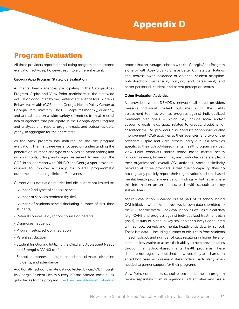# <span id="page-34-0"></span>Appendix D

# Program Evaluation

All three providers reported conducting program and outcome evaluation activities; however, each to a different extent.

#### Georgia Apex Program Statewide Evaluation

As mental health agencies participating in the Georgia Apex Program, Aspire and View Point participate in the statewide evaluation conducted by the Center of Excellence for Children's Behavioral Health (COE) in the Georgia Health Policy Center at Georgia State University. The COE captures monthly, quarterly, and annual data on a wide variety of metrics from all mental health agencies that participate in the Georgia Apex Program and analyzes and reports programmatic and outcomes data, yearly, in aggregate for the entire state.

As the Apex program has matured, so has the program evaluation. The first three years focused on understanding the penetration, number, and type of services delivered among and within schools, billing, and diagnoses served. In year four, the COE, in collaboration with DBHDD and Georgia Apex providers, worked to improve accuracy for overall programmatic outcomes – including clinical effectiveness.

Current Apex evaluation metrics include, but are not limited to:

- Number (and type) of schools served
- Number of services rendered (by tier)
- Number of students served (including number of first-time students)
- Referral sources (e.g., school counselor, parent)
- Diagnoses frequency
- Program setup/school integration
- Parent satisfaction
- Student functioning (utilizing the Child and Adolescent Needs and Strengths (CANS) tool)
- School outcomes such as school climate, discipline incidents, and attendance

Additionally, school climate data collected by GaDOE through its Georgia Student Health Survey 2.0 has offered some quick gut-checks for the program. [The Apex Year 4 Annual Evaluation](https://gacoeonline.gsu.edu/download/apex-year-4-executive-summary/) reports that on average, schools with the Georgia Apex Program alone or with Apex plus PBIS have better Climate Star Ratings and scores; lower incidence of violence, student discipline, out-of-school suspension, bullying, and harassment; and better personnel, student, and parent perception scores.

#### Other Evaluation Activities

As providers within DBHDD's network, all three providers measure individual student outcomes using the CANS assessment tool, as well as progress against individualized treatment plan goals — which may include social and/or academic goals (e.g., goals related to grades, discipline, or absenteeism). All providers also conduct continuous quality improvement (CQI) activities at their agencies, and two of the providers (Aspire and CarePartners) carry out CQI activities specific to their school-based mental health program services. View Point conducts similar school-based mental health program reviews; however, they are conducted separately from their organization's overall CQI activities. Another similarity between all three providers is that due to capacity, they do not regularly publicly report their organization's school-based mental health program evaluation findings — but rather share this information on an ad hoc basis with schools and key stakeholders.

Aspire's evaluation is carried out as part of its school-based CQI initiative, where Aspire reviews its own data submitted to the COE for the overall Apex evaluation, as well as clinical data (e.g., CANS and progress against individualized treatment plan goals), results of biannual key stakeholder surveys conducted with schools served, and mental health crisis data by school. These last data — including number of crisis calls from students in each school, and number of calls resulting in higher level of care — allow Aspire to assess their ability to help prevent crises through their school-based mental health programs. These data are not regularly published; however, they are shared on an ad hoc basis with relevant stakeholders, particularly when needed to garner support for their programs

View Point conducts its school-based mental health program review separately from its agency's CQI activities and has a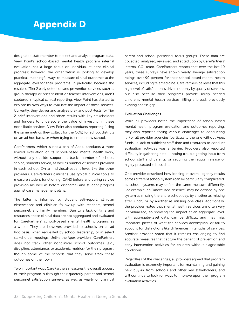# Appendix D

designated staff member to collect and analyze program data. View Point's school-based mental health program internal evaluation has a large focus on individual student clinical progress; however, the organization is looking to develop practical, meaningful ways to measure clinical outcomes at the aggregate level for their programs. In particular, because the results of Tier 2 early detection and prevention services, such as group therapy or brief student or teacher interventions, aren't captured in typical clinical reporting, View Point has started to explore its own ways to evaluate the impact of these services. Currently, they deliver and analyze pre- and post-tests for Tier 2 brief interventions and share results with key stakeholders and funders to underscore the value of investing in these nonbillable services. View Point also conducts reporting (using the same metrics they collect for the COE) for school districts on an ad hoc basis, or when trying to enter a new school.

CarePartners, which is not a part of Apex, conducts a more limited evaluation of its school-based mental health work, without any outside support. It tracks number of schools served, students served, as well as number of services provided in each school. On an individual-patient level, like the other providers, CarePartners clinicians use typical clinical tools to measure student functioning: CANS before and during service provision (as well as before discharge) and student progress against case management plans.

The latter is informed by student self-report; clinician observation; and clinician follow-up with teachers, school personnel, and family members. Due to a lack of time and resources, these clinical data are not aggregated and evaluated for CarePartners' school-based mental health programs as a whole. They are, however, provided to schools on an ad hoc basis, when requested by school leadership, or in select stakeholder meetings. Unlike the Apex providers, CarePartners does not track other nonclinical school outcomes (e.g., discipline, attendance, or academic metrics) for their program, though some of the schools that they serve track these outcomes on their own.

Two important ways CarePartners measures the overall success of their program is through their quarterly parent and school personnel satisfaction surveys, as well as yearly or biannual

parent and school personnel focus groups. These data are collected, analyzed, reviewed, and acted upon by CarePartners' internal CQI team. CarePartners reports that over the last 10 years, these surveys have shown yearly average satisfaction ratings over 90 percent for their school-based mental health services, including telemedicine. CarePartners believes that this high level of satisfaction is driven not only by quality of services, but also because their programs provide sorely needed children's mental health services, filling a broad, previously existing access gap.

#### Evaluation Challenges

While all providers noted the importance of school-based mental health program evaluation and outcomes reporting, they also reported facing various challenges to conducting it. For all provider agencies (particularly the one without Apex funds), a lack of sufficient staff time and resources to conduct evaluation activities was a barrier. Providers also reported difficulty in gathering data — noting trouble getting input from school staff and parents, or securing the regular release of highly protected school data.

One provider described how looking at overall agency results across different school systems can be particularly complicated, as school systems may define the same measure differently. For example, an "unexcused absence" may be defined by one system as missing the entire school day, by another as missing after lunch, or by another as missing one class. Additionally, the provider noted that mental health services are often very individualized, so showing the impact at an aggregate level, with aggregate-level data, can be difficult and may miss important pieces of what the services accomplish, or fail to account for distinctions like differences in lengths of services. Another provider noted that it remains challenging to find accurate measures that capture the benefit of prevention and early intervention activities for children without diagnosable conditions.

Regardless of the challenges, all providers agreed that program evaluation is extremely important for maintaining and gaining new buy-in from schools and other key stakeholders, and will continue to look for ways to improve upon their program evaluation activities.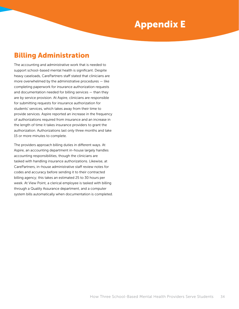# <span id="page-36-0"></span>Appendix E

# Billing Administration

The accounting and administrative work that is needed to support school-based mental health is significant. Despite heavy caseloads, CarePartners staff stated that clinicians are more overwhelmed by the administrative procedures — like completing paperwork for insurance authorization requests and documentation needed for billing services — than they are by service provision. At Aspire, clinicians are responsible for submitting requests for insurance authorization for students' services, which takes away from their time to provide services. Aspire reported an increase in the frequency of authorizations required from insurance and an increase in the length of time it takes insurance providers to grant the authorization. Authorizations last only three months and take 15 or more minutes to complete.

The providers approach billing duties in different ways. At Aspire, an accounting department in-house largely handles accounting responsibilities, though the clinicians are tasked with handling insurance authorizations. Likewise, at CarePartners, in-house administrative staff review notes for codes and accuracy before sending it to their contracted billing agency; this takes an estimated 25 to 30 hours per week. At View Point, a clerical employee is tasked with billing through a Quality Assurance department, and a computer system bills automatically when documentation is completed.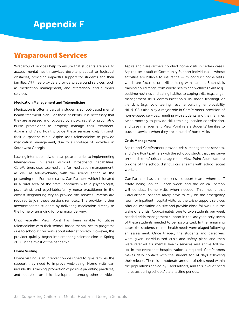# <span id="page-37-0"></span>Appendix F

## Wraparound Services

Wraparound services help to ensure that students are able to access mental health services despite practical or logistical obstacles, providing impactful support for students and their families. All three providers provide wraparound services, such as medication management, and afterschool and summer services.

#### Medication Management and Telemedicine

Medication is often a part of a student's school-based mental health treatment plan. For these students, it is necessary that they are assessed and followed by a psychiatrist or psychiatric nurse practitioner to properly manage their treatment. Aspire and View Point provide these services daily through their outpatient clinic. Aspire uses telemedicine to provide medication management, due to a shortage of providers in Southwest Georgia.

Lacking internet bandwidth can pose a barrier to implementing telemedicine in areas without broadband capabilities. CarePartners uses telemedicine for medication management, as well as telepsychiatry, with the school acting as the presenting site. For these cases, CarePartners, which is located in a rural area of the state, contracts with a psychologist, psychiatrist, and psychiatric/family nurse practitioner in the closest neighboring city to provide the services. Parents are required to join these sessions remotely. The provider further accommodates students by delivering medication directly to the home or arranging for pharmacy delivery.

Until recently, View Point has been unable to utilize telemedicine with their school-based mental health programs due to schools' concerns about internet privacy. However, the provider quickly began implementing telemedicine in Spring 2020 in the midst of the pandemic.

#### Home Visiting

Home visiting is an intervention designed to give families the support they need to improve well-being. Home visits can include skills training, promotion of positive parenting practices, and education on child development, among other activities. Aspire and CarePartners conduct home visits in certain cases. Aspire uses a staff of Community Support Individuals — whose activities are billable to insurance  $-$  to conduct home visits, which are focused on skill-building with parents. Such skills training could range from whole health and wellness skills (e.g., bedtime routines and eating habits), to coping skills (e.g., anger management skills, communication skills, mood tracking), or life skills (e.g., volunteering, resume building, employability skills). CSIs also play a major role in CarePartners' provision of home-based services, meeting with students and their families twice monthly to provide skills training, service coordination, and case management. View Point refers students' families to outside services when they are in need of home visits.

#### Crisis Management

Aspire and CarePartners provide crisis-management services, and View Point partners with the school districts that they serve on the districts' crisis management. View Point Apex staff are on one of the school district's crisis teams with school social workers.

CarePartners has a mobile crisis support team, where staff rotate being "on call" each week, and the on-call person will conduct home visits when needed. This means that CarePartners' patients rarely have to rely on the emergency room or inpatient hospital visits, as the crisis-support services offer de-escalation on-site and provide close follow-up in the wake of a crisis. Approximately one to two students per week needed crisis management support in the last year; only seven of these students needed to be hospitalized. In the remaining cases, the students' mental health needs were triaged following an assessment. Once triaged, the students and caregivers were given individualized crisis and safety plans and then were referred for mental health services and active followup. In the event that hospitalization is required, CarePartners makes daily contact with the student for 14 days following their release. There is a moderate amount of crisis need within the populations served by CarePartners, and this level of need increases during schools' state testing periods.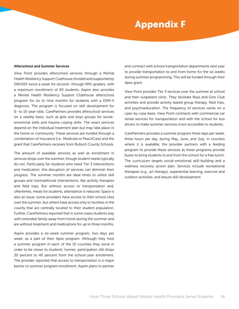# Appendix F

#### Afterschool and Summer Services

View Point provides afterschool services through a Mental Health Resiliency Support Clubhouse (funded and supported by DBHDD) twice a week for second- through fifth-graders, with a maximum enrollment of 60 students. Aspire also provides a Mental Health Resiliency Support Clubhouse afterschool program for six to nine months for students with a DSM-5 diagnosis. The program is focused on skill development for 6- to 15-year-olds. CarePartners provides afterschool services on a weekly basis, such as girls and boys groups for socialemotional skills and trauma coping skills. The exact services depend on the individual treatment plan but may take place in the home or community. These services are funded through a combination of insurance (i.e., Medicaid or PeachCare) and the grant that CarePartners receives from Bulloch County Schools.

The amount of available services as well as enrollment in services drops over the summer, though student needs typically do not. Particularly for students who need Tier 3 interventions and medication, this disruption of services can diminish their progress. The summer months are ideal times to utilize skill groups and nontraditional interventions, like activity therapies and field trips. But without access to transportation and, oftentimes, meals for students, attendance is reduced. Space is also an issue: some providers have access to their school sites over the summer, but others have access only to facilities in the county that are centrally located to their student population. Further, CarePartners reported that in some cases students stay with extended family away from home during the summer and are without treatment and medications for up to three months.

Aspire provides a six-week summer program, two days per week, as a part of their Apex program. Although they host a summer program in each of the 10 counties they serve in order to be closer to students' homes, participation still drops 30 percent to 40 percent from the school-year enrollment. The provider reported that access to transportation is a major barrier to summer program enrollment. Aspire plans to partner

and contract with school transportation departments next year to provide transportation to and from home for the six weeks during summer programming. This will be funded through their Apex grant.

View Point provides Tier 3 services over the summer at school and their outpatient clinic. They facilitate Boys and Girls Club activities and provide activity-based group therapy, field trips, and psychoeducation. The frequency of services varies on a case-by-case basis. View Point contracts with commercial car rental services for transportation and with the school for bus drivers to make summer services more accessible to students.

CarePartners provides a summer program three days per week, three hours per day, during May, June, and July. In counties where it is available, the provider partners with a feeding program to provide these services as these programs provide buses to bring students to and from the school for a free lunch. The curriculum targets social-emotional skill-building and a wellness recovery action plan. Services include recreational therapies (e.g., art therapy), experiential learning, exercise and outdoor activities, and leisure skill development.